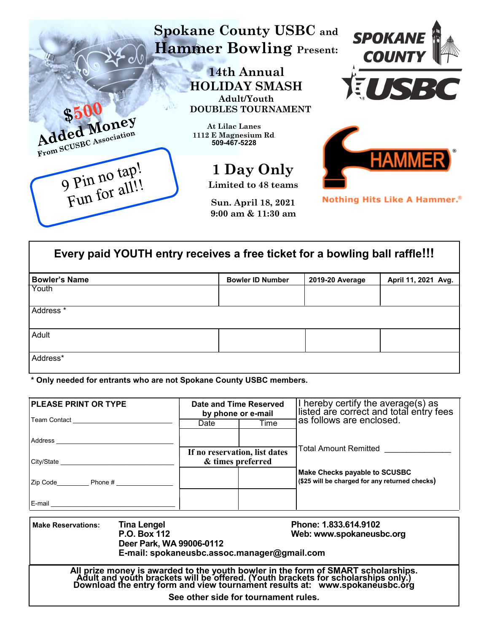

| Every paid YOUTH entry receives a free ticket for a bowling ball raffle!!! |                         |                 |                     |  |  |  |
|----------------------------------------------------------------------------|-------------------------|-----------------|---------------------|--|--|--|
| <b>Bowler's Name</b>                                                       | <b>Bowler ID Number</b> | 2019-20 Average | April 11, 2021 Avg. |  |  |  |
| Youth                                                                      |                         |                 |                     |  |  |  |
| Address <sup>*</sup>                                                       |                         |                 |                     |  |  |  |
| Adult                                                                      |                         |                 |                     |  |  |  |
| Address*                                                                   |                         |                 |                     |  |  |  |

**\* Only needed for entrants who are not Spokane County USBC members.**

| <b>PLEASE PRINT OR TYPE</b>                                                                                                                                                                                                          |                             | Date and Time Reserved<br>by phone or e-mail       |      | I hereby certify the average(s) as<br>listed are correct and total entry fees<br>as follows are enclosed. |  |  |
|--------------------------------------------------------------------------------------------------------------------------------------------------------------------------------------------------------------------------------------|-----------------------------|----------------------------------------------------|------|-----------------------------------------------------------------------------------------------------------|--|--|
| Team Contact <u>_____________________________</u>                                                                                                                                                                                    |                             | Date                                               | Time |                                                                                                           |  |  |
|                                                                                                                                                                                                                                      |                             |                                                    |      |                                                                                                           |  |  |
|                                                                                                                                                                                                                                      |                             | If no reservation, list dates<br>& times preferred |      | Total Amount Remitted                                                                                     |  |  |
| Zip Code________________ Phone # ______________________                                                                                                                                                                              |                             |                                                    |      | Make Checks payable to SCUSBC<br>(\$25 will be charged for any returned checks)                           |  |  |
|                                                                                                                                                                                                                                      |                             |                                                    |      |                                                                                                           |  |  |
| <b>Make Reservations:</b>                                                                                                                                                                                                            | Tina Lengel<br>P.O. Box 112 | Phone: 1.833.614.9102<br>Web: www.spokaneusbc.org  |      |                                                                                                           |  |  |
| Deer Park, WA 99006-0112<br>E-mail: spokaneusbc.assoc.manager@gmail.com                                                                                                                                                              |                             |                                                    |      |                                                                                                           |  |  |
| All prize money is awarded to the youth bowler in the form of SMART scholarships.<br>Adult and youth brackets will be offered. (Youth brackets for scholarships only.)<br>Download the entry form and view tournament results at: ww |                             |                                                    |      |                                                                                                           |  |  |
| See other side for tournament rules.                                                                                                                                                                                                 |                             |                                                    |      |                                                                                                           |  |  |